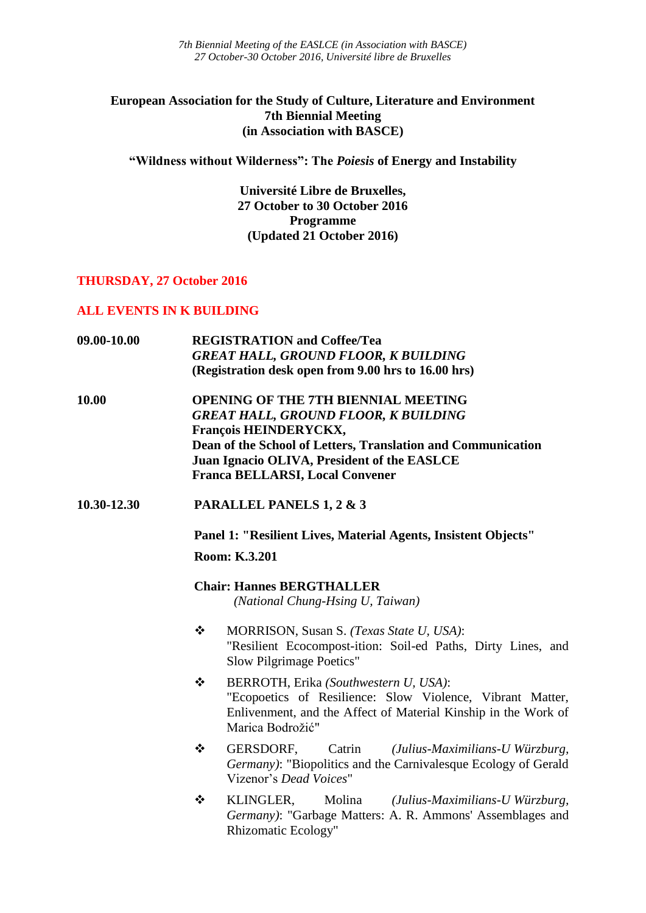*7th Biennial Meeting of the EASLCE (in Association with BASCE) 27 October-30 October 2016, Université libre de Bruxelles*

# **European Association for the Study of Culture, Literature and Environment 7th Biennial Meeting (in Association with BASCE)**

**"Wildness without Wilderness": The** *Poiesis* **of Energy and Instability**

**Université Libre de Bruxelles, 27 October to 30 October 2016 Programme (Updated 21 October 2016)**

#### **THURSDAY, 27 October 2016**

# **ALL EVENTS IN K BUILDING**

| 09.00-10.00 | <b>REGISTRATION</b> and Coffee/Tea<br><b>GREAT HALL, GROUND FLOOR, K BUILDING</b>                                                                                                                                                                                                                                                         |
|-------------|-------------------------------------------------------------------------------------------------------------------------------------------------------------------------------------------------------------------------------------------------------------------------------------------------------------------------------------------|
| 10.00       | (Registration desk open from 9.00 hrs to 16.00 hrs)<br><b>OPENING OF THE 7TH BIENNIAL MEETING</b><br><b>GREAT HALL, GROUND FLOOR, K BUILDING</b><br><b>François HEINDERYCKX,</b><br>Dean of the School of Letters, Translation and Communication<br>Juan Ignacio OLIVA, President of the EASLCE<br><b>Franca BELLARSI, Local Convener</b> |
| 10.30-12.30 | PARALLEL PANELS 1, 2 & 3                                                                                                                                                                                                                                                                                                                  |
|             | Panel 1: "Resilient Lives, Material Agents, Insistent Objects"<br>Room: K.3.201                                                                                                                                                                                                                                                           |
|             | <b>Chair: Hannes BERGTHALLER</b><br>(National Chung-Hsing U, Taiwan)                                                                                                                                                                                                                                                                      |
|             | ❖<br>MORRISON, Susan S. (Texas State U, USA):<br>"Resilient Ecocompost-ition: Soil-ed Paths, Dirty Lines, and<br>Slow Pilgrimage Poetics"                                                                                                                                                                                                 |
|             | ❖<br>BERROTH, Erika (Southwestern U, USA):<br>"Ecopoetics of Resilience: Slow Violence, Vibrant Matter,<br>Enlivenment, and the Affect of Material Kinship in the Work of<br>Marica Bodrožić"                                                                                                                                             |
|             | ❖<br>GERSDORF,<br>(Julius-Maximilians-U Würzburg,<br>Catrin<br>Germany): "Biopolitics and the Carnivalesque Ecology of Gerald<br>Vizenor's Dead Voices"                                                                                                                                                                                   |
|             | ❖<br>KLINGLER,<br>Molina<br>(Julius-Maximilians-U Würzburg,<br>Germany): "Garbage Matters: A. R. Ammons' Assemblages and<br><b>Rhizomatic Ecology"</b>                                                                                                                                                                                    |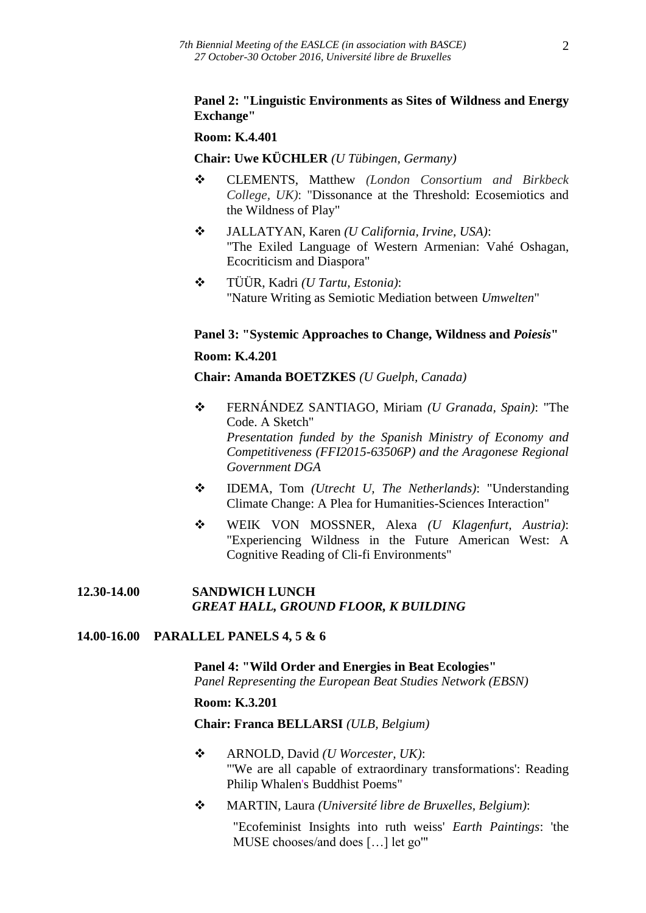#### **Panel 2: "Linguistic Environments as Sites of Wildness and Energy Exchange"**

#### **Room: K.4.401**

#### **Chair: Uwe KÜCHLER** *(U Tübingen, Germany)*

- CLEMENTS, Matthew *(London Consortium and Birkbeck College, UK)*: "Dissonance at the Threshold: Ecosemiotics and the Wildness of Play"
- JALLATYAN, Karen *(U California, Irvine, USA)*: "The Exiled Language of Western Armenian: Vahé Oshagan, Ecocriticism and Diaspora"
- TÜÜR, Kadri *(U Tartu, Estonia)*: "Nature Writing as Semiotic Mediation between *Umwelten*"

#### **Panel 3: "Systemic Approaches to Change, Wildness and** *Poiesis***"**

#### **Room: K.4.201**

**Chair: Amanda BOETZKES** *(U Guelph, Canada)*

- FERNÁNDEZ SANTIAGO, Miriam *(U Granada, Spain)*: "The Code. A Sketch" *Presentation funded by the Spanish Ministry of Economy and Competitiveness (FFI2015-63506P) and the Aragonese Regional Government DGA*
- IDEMA, Tom *(Utrecht U, The Netherlands)*: "Understanding Climate Change: A Plea for Humanities-Sciences Interaction"
- WEIK VON MOSSNER, Alexa *(U Klagenfurt, Austria)*: "Experiencing Wildness in the Future American West: A Cognitive Reading of Cli-fi Environments"

#### **12.30-14.00 SANDWICH LUNCH** *GREAT HALL, GROUND FLOOR, K BUILDING*

#### **14.00-16.00 PARALLEL PANELS 4, 5 & 6**

**Panel 4: "Wild Order and Energies in Beat Ecologies"** *Panel Representing the European Beat Studies Network (EBSN)*

#### **Room: K.3.201**

#### **Chair: Franca BELLARSI** *(ULB, Belgium)*

- ARNOLD, David *(U Worcester, UK)*: "'We are all capable of extraordinary transformations': Reading Philip Whalen's Buddhist Poems"
- MARTIN, Laura *(Université libre de Bruxelles, Belgium)*:

"Ecofeminist Insights into ruth weiss' *Earth Paintings*: 'the MUSE chooses/and does […] let go'"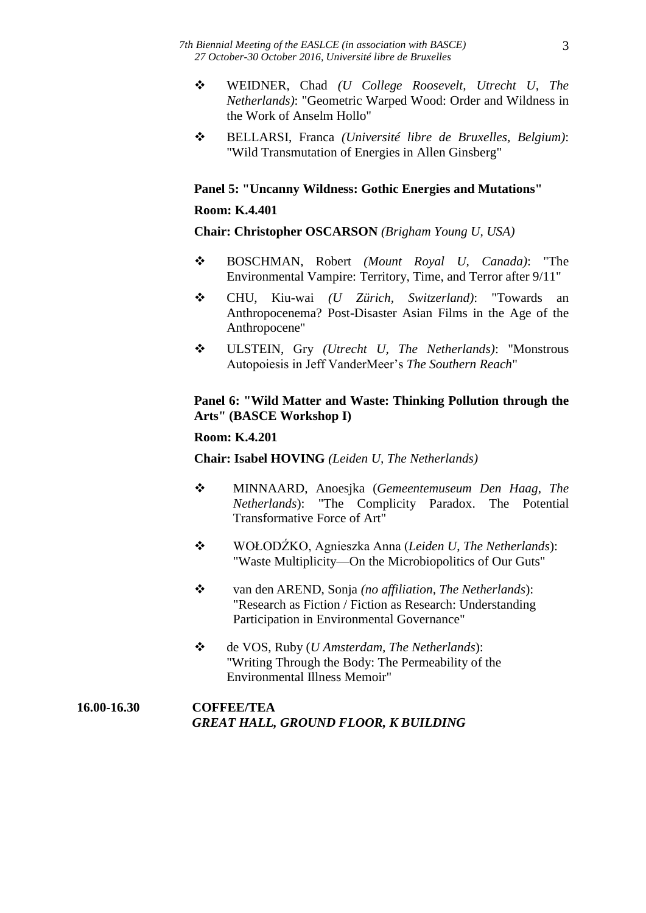- WEIDNER, Chad *(U College Roosevelt, Utrecht U, The Netherlands)*: "Geometric Warped Wood: Order and Wildness in the Work of Anselm Hollo"
- BELLARSI, Franca *(Université libre de Bruxelles, Belgium)*: "Wild Transmutation of Energies in Allen Ginsberg"

# **Panel 5: "Uncanny Wildness: Gothic Energies and Mutations"**

# **Room: K.4.401**

**Chair: Christopher OSCARSON** *(Brigham Young U, USA)*

- BOSCHMAN, Robert *(Mount Royal U, Canada)*: "The Environmental Vampire: Territory, Time, and Terror after 9/11"
- CHU, Kiu-wai *(U Zürich, Switzerland)*: "Towards an Anthropocenema? Post-Disaster Asian Films in the Age of the Anthropocene"
- ULSTEIN, Gry *(Utrecht U, The Netherlands)*: "Monstrous Autopoiesis in Jeff VanderMeer's *The Southern Reach*"

# **Panel 6: "Wild Matter and Waste: Thinking Pollution through the Arts" (BASCE Workshop I)**

# **Room: K.4.201**

**Chair: Isabel HOVING** *(Leiden U, The Netherlands)*

- MINNAARD, Anoesjka (*Gemeentemuseum Den Haag, The Netherlands*): "The Complicity Paradox. The Potential Transformative Force of Art"
- WOŁODŹKO, Agnieszka Anna (*Leiden U*, *The Netherlands*): "Waste Multiplicity—On the Microbiopolitics of Our Guts"
- van den AREND, Sonja *(no affiliation, The Netherlands*): "Research as Fiction / Fiction as Research: Understanding Participation in Environmental Governance"
- de VOS, Ruby (*U Amsterdam, The Netherlands*): "Writing Through the Body: The Permeability of the Environmental Illness Memoir"

# **16.00-16.30 COFFEE/TEA** *GREAT HALL, GROUND FLOOR, K BUILDING*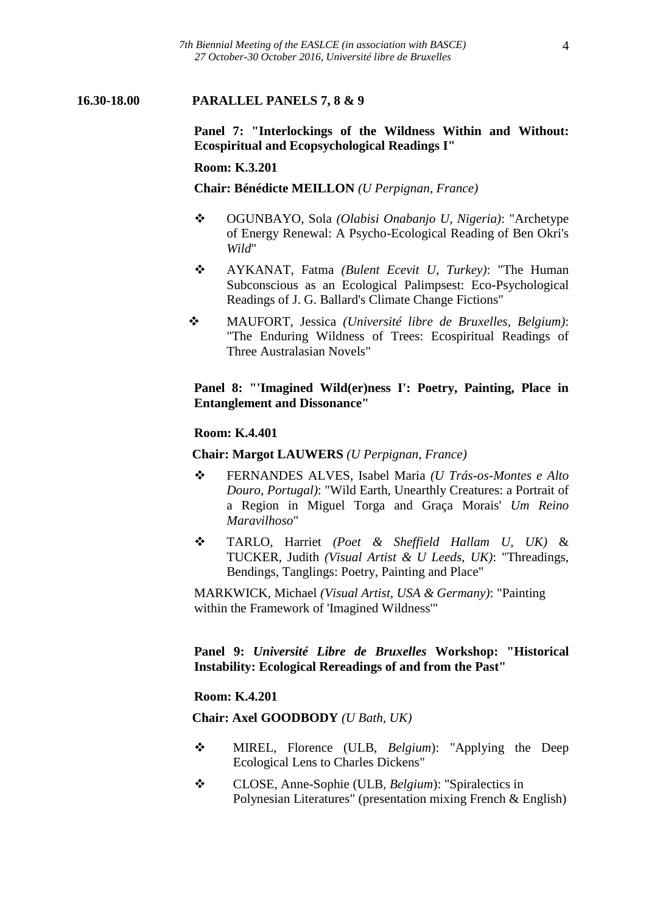#### **16.30-18.00 PARALLEL PANELS 7, 8 & 9**

**Panel 7: "Interlockings of the Wildness Within and Without: Ecospiritual and Ecopsychological Readings I"**

#### **Room: K.3.201**

**Chair: Bénédicte MEILLON** *(U Perpignan, France)*

- OGUNBAYO, Sola *(Olabisi Onabanjo U, Nigeria)*: "Archetype of Energy Renewal: A Psycho-Ecological Reading of Ben Okri's *Wild*"
- AYKANAT, Fatma *(Bulent Ecevit U, Turkey)*: "The Human Subconscious as an Ecological Palimpsest: Eco-Psychological Readings of J. G. Ballard's Climate Change Fictions"
- MAUFORT, Jessica *(Université libre de Bruxelles, Belgium)*: "The Enduring Wildness of Trees: Ecospiritual Readings of Three Australasian Novels"

# **Panel 8: "'Imagined Wild(er)ness I': Poetry, Painting, Place in Entanglement and Dissonance"**

#### **Room: K.4.401**

#### **Chair: Margot LAUWERS** *(U Perpignan, France)*

- FERNANDES ALVES, Isabel Maria *(U Trás-os-Montes e Alto Douro, Portugal)*: "Wild Earth, Unearthly Creatures: a Portrait of a Region in Miguel Torga and Graça Morais' *Um Reino Maravilhoso*"
- TARLO, Harriet *(Poet & Sheffield Hallam U, UK)* & TUCKER, Judith *(Visual Artist & U Leeds, UK)*: "Threadings, Bendings, Tanglings: Poetry, Painting and Place"

MARKWICK, Michael *(Visual Artist, USA & Germany)*: "Painting within the Framework of 'Imagined Wildness'"

# **Panel 9:** *Université Libre de Bruxelles* **Workshop: "Historical Instability: Ecological Rereadings of and from the Past"**

#### **Room: K.4.201**

#### **Chair: Axel GOODBODY** *(U Bath, UK)*

- MIREL, Florence (ULB, *Belgium*): "Applying the Deep Ecological Lens to Charles Dickens"
- CLOSE, Anne-Sophie (ULB, *Belgium*): "Spiralectics in Polynesian Literatures" (presentation mixing French & English)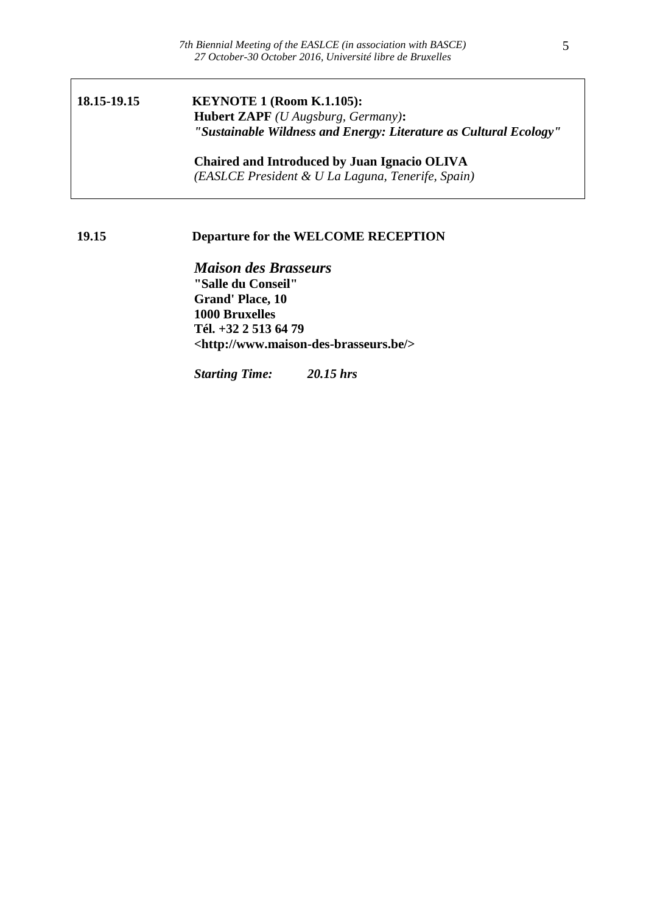# **18.15-19.15 KEYNOTE 1 (Room K.1.105): Hubert ZAPF** *(U Augsburg, Germany)***:** *"Sustainable Wildness and Energy: Literature as Cultural Ecology"*

**Chaired and Introduced by Juan Ignacio OLIVA** *(EASLCE President & U La Laguna, Tenerife, Spain)*

# **19.15 Departure for the WELCOME RECEPTION**

*Maison des Brasseurs* **"Salle du Conseil" Grand' Place, 10 1000 Bruxelles Tél. +32 2 513 64 79 <http://www.maison-des-brasseurs.be/>**

*Starting Time: 20.15 hrs*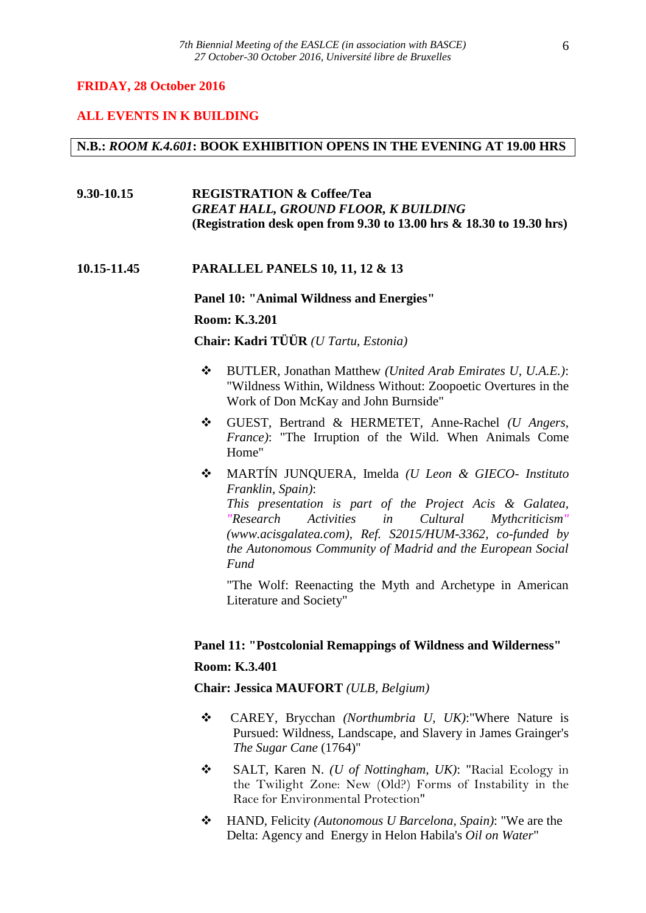#### **FRIDAY, 28 October 2016**

#### **ALL EVENTS IN K BUILDING**

#### **N.B.:** *ROOM K.4.601***: BOOK EXHIBITION OPENS IN THE EVENING AT 19.00 HRS**

# **9.30-10.15 REGISTRATION & Coffee/Tea** *GREAT HALL, GROUND FLOOR, K BUILDING* **(Registration desk open from 9.30 to 13.00 hrs & 18.30 to 19.30 hrs)**

#### **10.15-11.45 PARALLEL PANELS 10, 11, 12 & 13**

**Panel 10: "Animal Wildness and Energies"**

#### **Room: K.3.201**

**Chair: Kadri TÜÜR** *(U Tartu, Estonia)*

- BUTLER, Jonathan Matthew *(United Arab Emirates U, U.A.E.)*: "Wildness Within, Wildness Without: Zoopoetic Overtures in the Work of Don McKay and John Burnside"
- GUEST, Bertrand & HERMETET, Anne-Rachel *(U Angers, France)*: "The Irruption of the Wild. When Animals Come Home"
- MARTÍN JUNQUERA, Imelda *(U Leon & GIECO- Instituto Franklin, Spain)*: *This presentation is part of the Project Acis & Galatea, "Research Activities in Cultural Mythcriticism" (www.acisgalatea.com), Ref. S2015/HUM-3362, co-funded by the Autonomous Community of Madrid and the European Social Fund*

"The Wolf: Reenacting the Myth and Archetype in American Literature and Society"

#### **Panel 11: "Postcolonial Remappings of Wildness and Wilderness"**

#### **Room: K.3.401**

**Chair: Jessica MAUFORT** *(ULB, Belgium)*

- CAREY, Brycchan *(Northumbria U, UK)*:"Where Nature is Pursued: Wildness, Landscape, and Slavery in James Grainger's *The Sugar Cane* (1764)"
- SALT, Karen N. *(U of Nottingham, UK)*: "Racial Ecology in the Twilight Zone: New (Old?) Forms of Instability in the Race for Environmental Protection"
- HAND, Felicity *(Autonomous U Barcelona, Spain)*: "We are the Delta: Agency and Energy in Helon Habila's *Oil on Water*"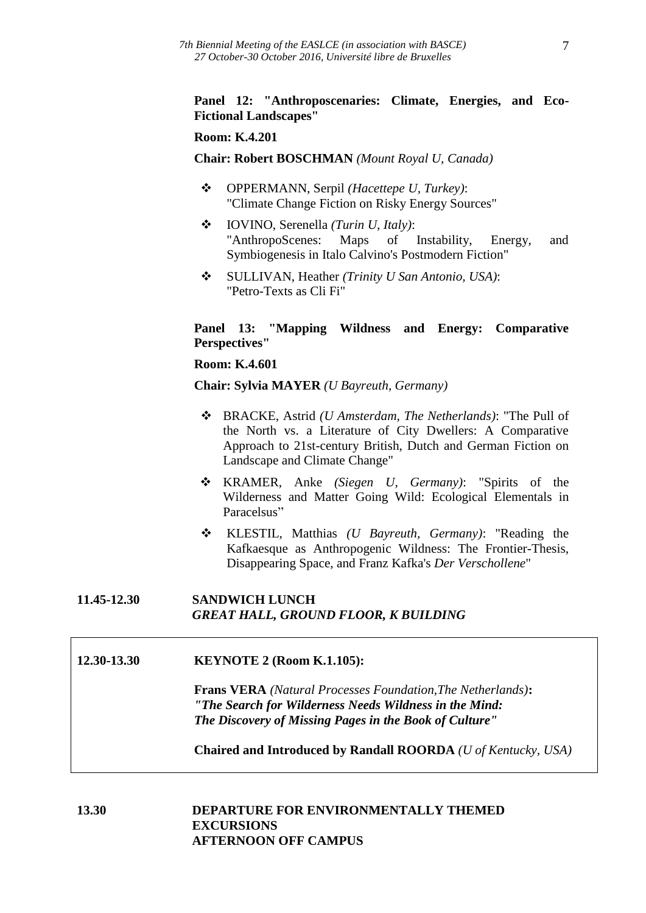# **Panel 12: "Anthroposcenaries: Climate, Energies, and Eco-Fictional Landscapes"**

#### **Room: K.4.201**

**Chair: Robert BOSCHMAN** *(Mount Royal U, Canada)*

- OPPERMANN, Serpil *(Hacettepe U, Turkey)*: "Climate Change Fiction on Risky Energy Sources"
- IOVINO, Serenella *(Turin U, Italy)*: "AnthropoScenes: Maps of Instability, Energy, and Symbiogenesis in Italo Calvino's Postmodern Fiction"
- SULLIVAN, Heather *(Trinity U San Antonio, USA)*: "Petro-Texts as Cli Fi"

### **Panel 13: "Mapping Wildness and Energy: Comparative Perspectives"**

#### **Room: K.4.601**

**Chair: Sylvia MAYER** *(U Bayreuth, Germany)*

- BRACKE, Astrid *(U Amsterdam, The Netherlands)*: "The Pull of the North vs. a Literature of City Dwellers: A Comparative Approach to 21st-century British, Dutch and German Fiction on Landscape and Climate Change"
- KRAMER, Anke *(Siegen U, Germany)*: "Spirits of the Wilderness and Matter Going Wild: Ecological Elementals in Paracelsus"
- KLESTIL, Matthias *(U Bayreuth, Germany)*: "Reading the Kafkaesque as Anthropogenic Wildness: The Frontier-Thesis, Disappearing Space, and Franz Kafka's *Der Verschollene*"

# **11.45-12.30 SANDWICH LUNCH** *GREAT HALL, GROUND FLOOR, K BUILDING*

#### **12.30-13.30 KEYNOTE 2 (Room K.1.105):**

**Frans VERA** *(Natural Processes Foundation,The Netherlands)***:** *"The Search for Wilderness Needs Wildness in the Mind: The Discovery of Missing Pages in the Book of Culture"*

**Chaired and Introduced by Randall ROORDA** *(U of Kentucky, USA)*

# **13.30 DEPARTURE FOR ENVIRONMENTALLY THEMED EXCURSIONS AFTERNOON OFF CAMPUS**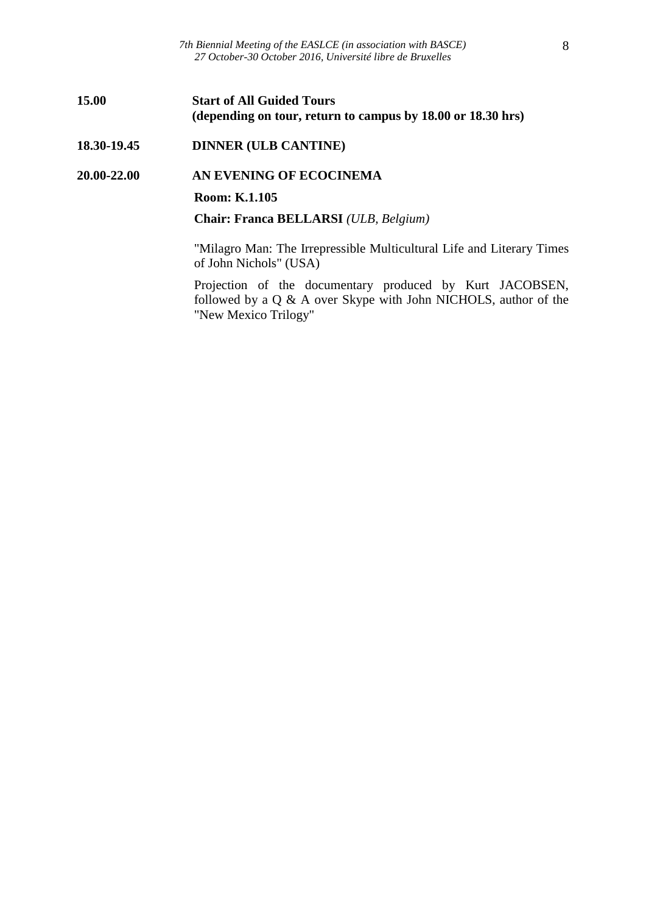*7th Biennial Meeting of the EASLCE (in association with BASCE) 27 October-30 October 2016, Université libre de Bruxelles*

#### **15.00 Start of All Guided Tours (depending on tour, return to campus by 18.00 or 18.30 hrs)**

#### **18.30-19.45 DINNER (ULB CANTINE)**

#### **20.00-22.00 AN EVENING OF ECOCINEMA**

#### **Room: K.1.105**

**Chair: Franca BELLARSI** *(ULB, Belgium)*

"Milagro Man: The Irrepressible Multicultural Life and Literary Times of John Nichols" (USA)

Projection of the documentary produced by Kurt JACOBSEN, followed by a Q & A over Skype with John NICHOLS, author of the "New Mexico Trilogy"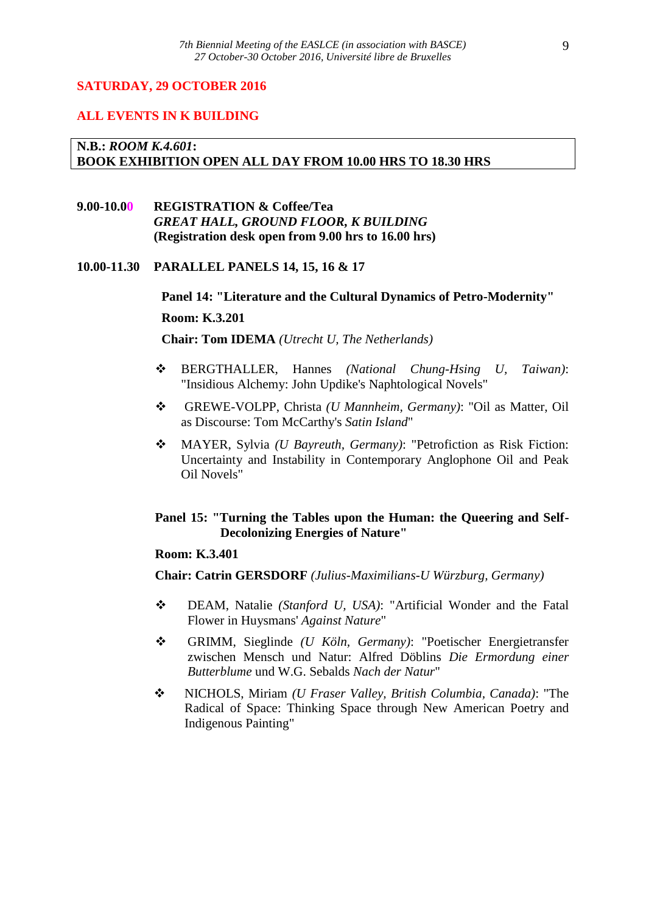#### **SATURDAY, 29 OCTOBER 2016**

#### **ALL EVENTS IN K BUILDING**

# **N.B.:** *ROOM K.4.601***: BOOK EXHIBITION OPEN ALL DAY FROM 10.00 HRS TO 18.30 HRS**

# **9.00-10.00 REGISTRATION & Coffee/Tea** *GREAT HALL, GROUND FLOOR, K BUILDING* **(Registration desk open from 9.00 hrs to 16.00 hrs)**

# **10.00-11.30 PARALLEL PANELS 14, 15, 16 & 17**

#### **Panel 14: "Literature and the Cultural Dynamics of Petro-Modernity"**

#### **Room: K.3.201**

**Chair: Tom IDEMA** *(Utrecht U, The Netherlands)*

- BERGTHALLER, Hannes *(National Chung-Hsing U, Taiwan)*: "Insidious Alchemy: John Updike's Naphtological Novels"
- GREWE-VOLPP, Christa *(U Mannheim, Germany)*: "Oil as Matter, Oil as Discourse: Tom McCarthy's *Satin Island*"
- MAYER, Sylvia *(U Bayreuth, Germany)*: "Petrofiction as Risk Fiction: Uncertainty and Instability in Contemporary Anglophone Oil and Peak Oil Novels"

# **Panel 15: "Turning the Tables upon the Human: the Queering and Self-Decolonizing Energies of Nature"**

### **Room: K.3.401**

**Chair: Catrin GERSDORF** *(Julius-Maximilians-U Würzburg, Germany)*

- DEAM, Natalie *(Stanford U, USA)*: "Artificial Wonder and the Fatal Flower in Huysmans' *Against Nature*"
- GRIMM, Sieglinde *(U Köln, Germany)*: "Poetischer Energietransfer zwischen Mensch und Natur: Alfred Döblins *Die Ermordung einer Butterblume* und W.G. Sebalds *Nach der Natur*"
- NICHOLS, Miriam *(U Fraser Valley, British Columbia, Canada)*: "The Radical of Space: Thinking Space through New American Poetry and Indigenous Painting"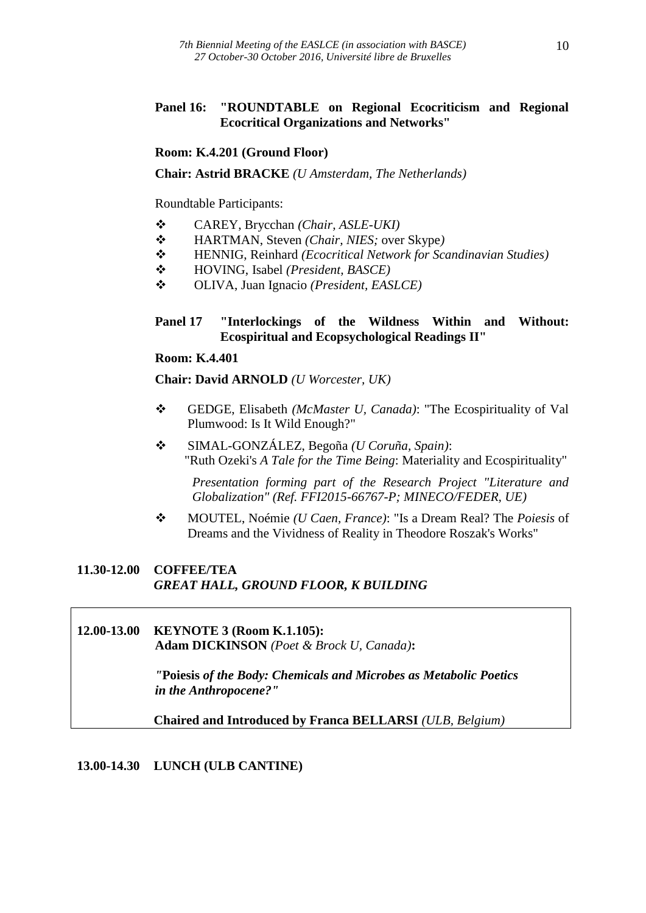# **Panel 16: "ROUNDTABLE on Regional Ecocriticism and Regional Ecocritical Organizations and Networks"**

# **Room: K.4.201 (Ground Floor)**

**Chair: Astrid BRACKE** *(U Amsterdam, The Netherlands)*

Roundtable Participants:

- CAREY, Brycchan *(Chair, ASLE-UKI)*
- HARTMAN, Steven *(Chair, NIES;* over Skype*)*
- HENNIG, Reinhard *(Ecocritical Network for Scandinavian Studies)*
- HOVING, Isabel *(President, BASCE)*
- OLIVA, Juan Ignacio *(President, EASLCE)*

# **Panel 17 "Interlockings of the Wildness Within and Without: Ecospiritual and Ecopsychological Readings II"**

#### **Room: K.4.401**

**Chair: David ARNOLD** *(U Worcester, UK)*

- GEDGE, Elisabeth *(McMaster U, Canada)*: "The Ecospirituality of Val Plumwood: Is It Wild Enough?"
- SIMAL-GONZÁLEZ, Begoña *(U Coruña, Spain)*: "Ruth Ozeki's *A Tale for the Time Being*: Materiality and Ecospirituality"

*Presentation forming part of the Research Project "Literature and Globalization" (Ref. FFI2015-66767-P; MINECO/FEDER, UE)*

 MOUTEL, Noémie *(U Caen, France)*: "Is a Dream Real? The *Poiesis* of Dreams and the Vividness of Reality in Theodore Roszak's Works"

# **11.30-12.00 COFFEE/TEA** *GREAT HALL, GROUND FLOOR, K BUILDING*

#### **12.00-13.00 KEYNOTE 3 (Room K.1.105): Adam DICKINSON** *(Poet & Brock U, Canada)***:**

*"***Poiesis** *of the Body: Chemicals and Microbes as Metabolic Poetics in the Anthropocene?"*

**Chaired and Introduced by Franca BELLARSI** *(ULB, Belgium)*

# **13.00-14.30 LUNCH (ULB CANTINE)**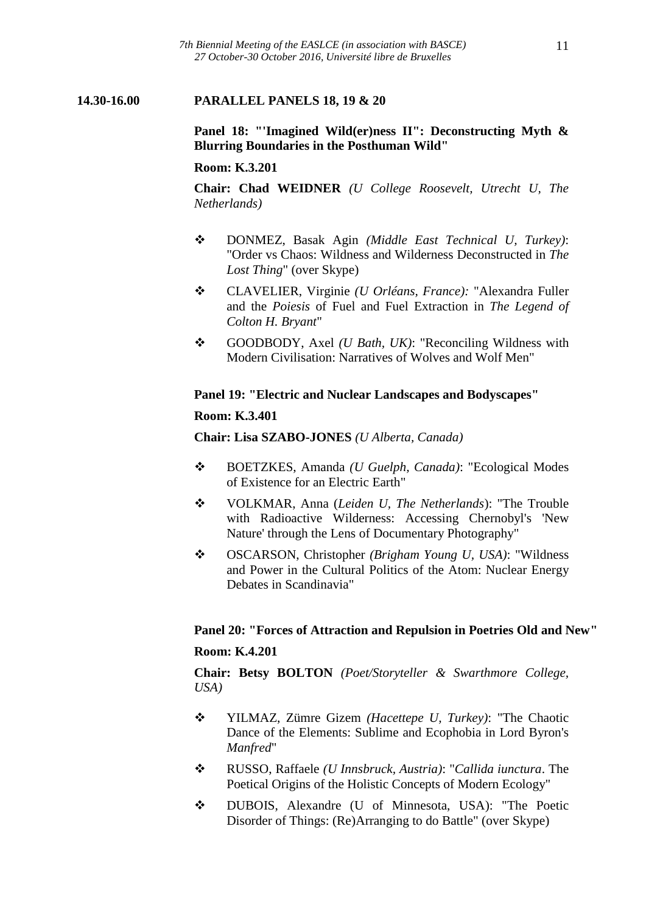### **14.30-16.00 PARALLEL PANELS 18, 19 & 20**

**Panel 18: "'Imagined Wild(er)ness II": Deconstructing Myth & Blurring Boundaries in the Posthuman Wild"**

#### **Room: K.3.201**

**Chair: Chad WEIDNER** *(U College Roosevelt, Utrecht U, The Netherlands)*

- DONMEZ, Basak Agin *(Middle East Technical U, Turkey)*: "Order vs Chaos: Wildness and Wilderness Deconstructed in *The Lost Thing*" (over Skype)
- CLAVELIER, Virginie *(U Orléans, France):* "Alexandra Fuller and the *Poiesis* of Fuel and Fuel Extraction in *The Legend of Colton H. Bryant*"
- GOODBODY, Axel *(U Bath, UK)*: "Reconciling Wildness with Modern Civilisation: Narratives of Wolves and Wolf Men"

#### **Panel 19: "Electric and Nuclear Landscapes and Bodyscapes"**

#### **Room: K.3.401**

**Chair: Lisa SZABO-JONES** *(U Alberta, Canada)*

- BOETZKES, Amanda *(U Guelph, Canada)*: "Ecological Modes of Existence for an Electric Earth"
- VOLKMAR, Anna (*Leiden U, The Netherlands*): "The Trouble with Radioactive Wilderness: Accessing Chernobyl's 'New Nature' through the Lens of Documentary Photography"
- OSCARSON, Christopher *(Brigham Young U, USA)*: "Wildness and Power in the Cultural Politics of the Atom: Nuclear Energy Debates in Scandinavia"

#### **Panel 20: "Forces of Attraction and Repulsion in Poetries Old and New"**

#### **Room: K.4.201**

**Chair: Betsy BOLTON** *(Poet/Storyteller & Swarthmore College, USA)*

- YILMAZ, Zümre Gizem *(Hacettepe U, Turkey)*: "The Chaotic Dance of the Elements: Sublime and Ecophobia in Lord Byron's *Manfred*"
- RUSSO, Raffaele *(U Innsbruck, Austria)*: "*Callida iunctura*. The Poetical Origins of the Holistic Concepts of Modern Ecology"
- DUBOIS, Alexandre (U of Minnesota, USA): "The Poetic Disorder of Things: (Re)Arranging to do Battle" (over Skype)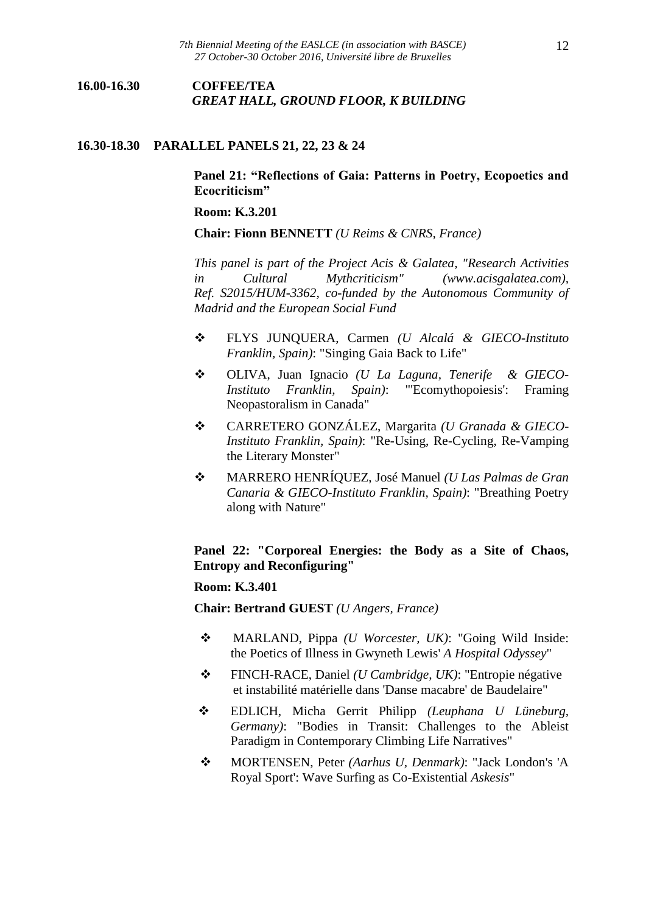# **16.00-16.30 COFFEE/TEA** *GREAT HALL, GROUND FLOOR, K BUILDING*

#### **16.30-18.30 PARALLEL PANELS 21, 22, 23 & 24**

### **Panel 21: "Reflections of Gaia: Patterns in Poetry, Ecopoetics and Ecocriticism"**

#### **Room: K.3.201**

**Chair: Fionn BENNETT** *(U Reims & CNRS, France)*

*This panel is part of the Project Acis & Galatea, "Research Activities in Cultural Mythcriticism" (www.acisgalatea.com), Ref. S2015/HUM-3362, co-funded by the Autonomous Community of Madrid and the European Social Fund*

- FLYS JUNQUERA, Carmen *(U Alcalá & GIECO-Instituto Franklin, Spain)*: "Singing Gaia Back to Life"
- OLIVA, Juan Ignacio *(U La Laguna, Tenerife & GIECO-Instituto Franklin, Spain)*: "'Ecomythopoiesis': Framing Neopastoralism in Canada"
- CARRETERO GONZÁLEZ, Margarita *(U Granada & GIECO-Instituto Franklin, Spain)*: "Re-Using, Re-Cycling, Re-Vamping the Literary Monster"
- MARRERO HENRÍQUEZ, José Manuel *(U Las Palmas de Gran Canaria & GIECO-Instituto Franklin, Spain)*: "Breathing Poetry along with Nature"

# **Panel 22: "Corporeal Energies: the Body as a Site of Chaos, Entropy and Reconfiguring"**

#### **Room: K.3.401**

**Chair: Bertrand GUEST** *(U Angers, France)*

- MARLAND, Pippa *(U Worcester, UK)*: "Going Wild Inside: the Poetics of Illness in Gwyneth Lewis' *A Hospital Odyssey*"
- FINCH-RACE, Daniel *(U Cambridge, UK)*: "Entropie négative et instabilité matérielle dans 'Danse macabre' de Baudelaire"
- EDLICH, Micha Gerrit Philipp *(Leuphana U Lüneburg, Germany)*: "Bodies in Transit: Challenges to the Ableist Paradigm in Contemporary Climbing Life Narratives"
- MORTENSEN, Peter *(Aarhus U, Denmark)*: "Jack London's 'A Royal Sport': Wave Surfing as Co-Existential *Askesis*"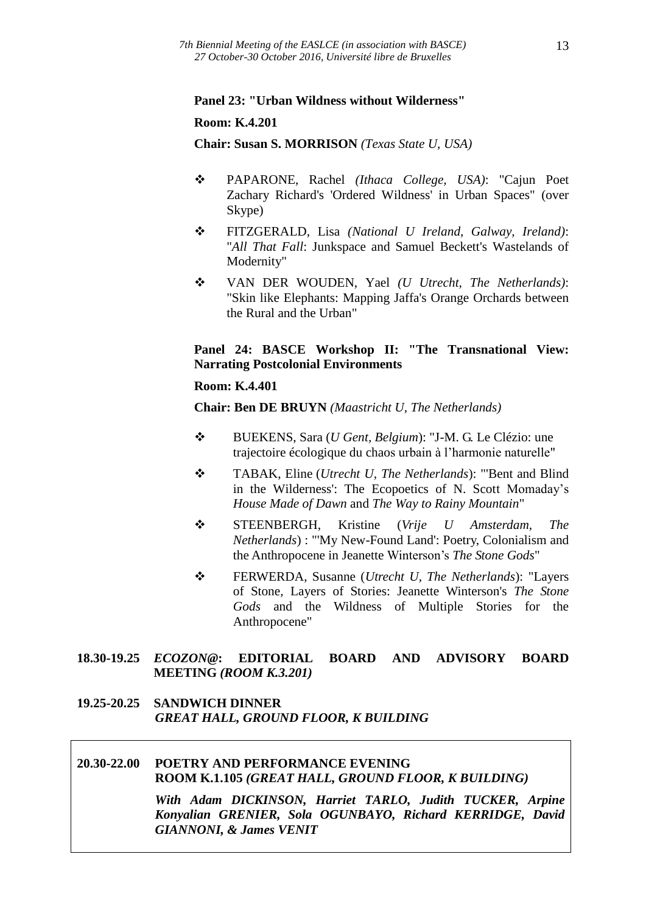#### **Panel 23: "Urban Wildness without Wilderness"**

#### **Room: K.4.201**

**Chair: Susan S. MORRISON** *(Texas State U, USA)*

- PAPARONE, Rachel *(Ithaca College, USA)*: "Cajun Poet Zachary Richard's 'Ordered Wildness' in Urban Spaces" (over Skype)
- FITZGERALD, Lisa *(National U Ireland, Galway, Ireland)*: "*All That Fall*: Junkspace and Samuel Beckett's Wastelands of Modernity"
- VAN DER WOUDEN, Yael *(U Utrecht, The Netherlands)*: "Skin like Elephants: Mapping Jaffa's Orange Orchards between the Rural and the Urban"

# **Panel 24: BASCE Workshop II: "The Transnational View: Narrating Postcolonial Environments**

#### **Room: K.4.401**

**Chair: Ben DE BRUYN** *(Maastricht U, The Netherlands)*

- BUEKENS, Sara (*U Gent, Belgium*): "J-M. G. Le Clézio: une trajectoire écologique du chaos urbain à l'harmonie naturelle"
- TABAK, Eline (*Utrecht U, The Netherlands*): "'Bent and Blind in the Wilderness': The Ecopoetics of N. Scott Momaday's *House Made of Dawn* and *The Way to Rainy Mountain*"
- STEENBERGH, Kristine (*Vrije U Amsterdam, The Netherlands*) : "'My New-Found Land': Poetry, Colonialism and the Anthropocene in Jeanette Winterson's *The Stone Gods*"
- FERWERDA, Susanne (*Utrecht U, The Netherlands*): "Layers of Stone, Layers of Stories: Jeanette Winterson's *The Stone Gods* and the Wildness of Multiple Stories for the Anthropocene"

# **18.30-19.25** *ECOZON@***: EDITORIAL BOARD AND ADVISORY BOARD MEETING** *(ROOM K.3.201)*

#### **19.25-20.25 SANDWICH DINNER** *GREAT HALL, GROUND FLOOR, K BUILDING*

# **20.30-22.00 POETRY AND PERFORMANCE EVENING ROOM K.1.105** *(GREAT HALL, GROUND FLOOR, K BUILDING)*

*With Adam DICKINSON, Harriet TARLO, Judith TUCKER, Arpine Konyalian GRENIER, Sola OGUNBAYO, Richard KERRIDGE, David GIANNONI, & James VENIT*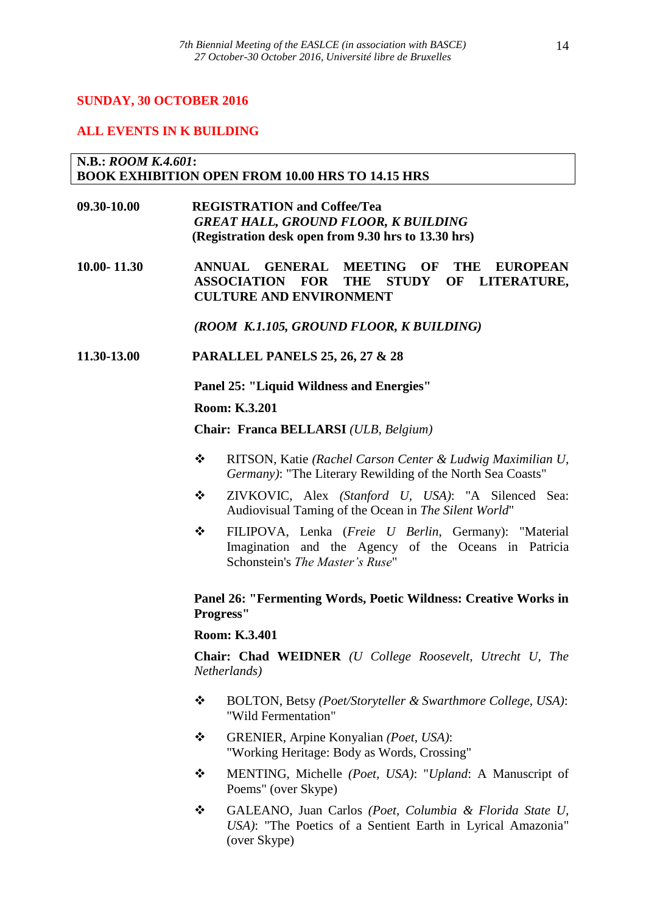# **SUNDAY, 30 OCTOBER 2016**

#### **ALL EVENTS IN K BUILDING**

#### **N.B.:** *ROOM K.4.601***: BOOK EXHIBITION OPEN FROM 10.00 HRS TO 14.15 HRS**

**09.30-10.00 REGISTRATION and Coffee/Tea** *GREAT HALL, GROUND FLOOR, K BUILDING* **(Registration desk open from 9.30 hrs to 13.30 hrs)**

**10.00- 11.30 ANNUAL GENERAL MEETING OF THE EUROPEAN ASSOCIATION FOR THE STUDY OF LITERATURE, CULTURE AND ENVIRONMENT**

*(ROOM K.1.105, GROUND FLOOR, K BUILDING)*

**11.30-13.00 PARALLEL PANELS 25, 26, 27 & 28**

**Panel 25: "Liquid Wildness and Energies"**

**Room: K.3.201**

**Chair: Franca BELLARSI** *(ULB, Belgium)*

- RITSON, Katie *(Rachel Carson Center & Ludwig Maximilian U, Germany)*: "The Literary Rewilding of the North Sea Coasts"
- ZIVKOVIC, Alex *(Stanford U, USA)*: "A Silenced Sea: Audiovisual Taming of the Ocean in *The Silent World*"
- FILIPOVA, Lenka (*Freie U Berlin*, Germany): "Material Imagination and the Agency of the Oceans in Patricia Schonstein's *The Master's Ruse*"

# **Panel 26: "Fermenting Words, Poetic Wildness: Creative Works in Progress"**

#### **Room: K.3.401**

**Chair: Chad WEIDNER** *(U College Roosevelt, Utrecht U, The Netherlands)*

- BOLTON, Betsy *(Poet/Storyteller & Swarthmore College, USA)*: "Wild Fermentation"
- GRENIER, Arpine Konyalian *(Poet, USA)*: "Working Heritage: Body as Words, Crossing"
- MENTING, Michelle *(Poet, USA)*: "*Upland*: A Manuscript of Poems" (over Skype)
- GALEANO, Juan Carlos *(Poet, Columbia & Florida State U, USA)*: "The Poetics of a Sentient Earth in Lyrical Amazonia" (over Skype)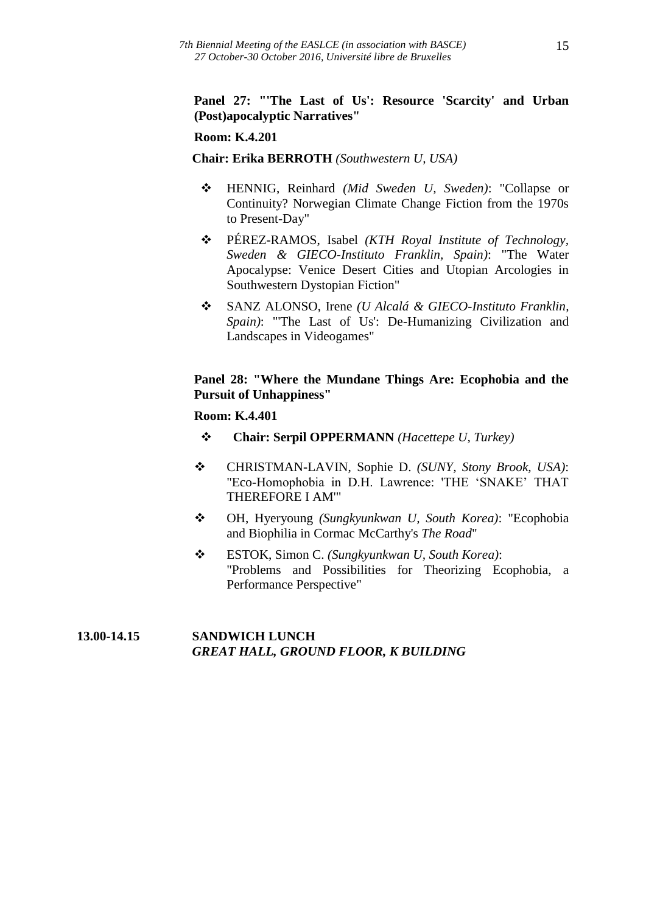# **Panel 27: "'The Last of Us': Resource 'Scarcity' and Urban (Post)apocalyptic Narratives"**

# **Room: K.4.201**

#### **Chair: Erika BERROTH** *(Southwestern U, USA)*

- HENNIG, Reinhard *(Mid Sweden U, Sweden)*: "Collapse or Continuity? Norwegian Climate Change Fiction from the 1970s to Present-Day"
- PÉREZ-RAMOS, Isabel *(KTH Royal Institute of Technology, Sweden & GIECO-Instituto Franklin, Spain)*: "The Water Apocalypse: Venice Desert Cities and Utopian Arcologies in Southwestern Dystopian Fiction"
- SANZ ALONSO, Irene *(U Alcalá & GIECO-Instituto Franklin, Spain)*: "'The Last of Us': De-Humanizing Civilization and Landscapes in Videogames"

# **Panel 28: "Where the Mundane Things Are: Ecophobia and the Pursuit of Unhappiness"**

#### **Room: K.4.401**

- **Chair: Serpil OPPERMANN** *(Hacettepe U, Turkey)*
- CHRISTMAN-LAVIN, Sophie D. *(SUNY, Stony Brook, USA)*: "Eco-Homophobia in D.H. Lawrence: 'THE 'SNAKE' THAT THEREFORE I AM'"
- OH, Hyeryoung *(Sungkyunkwan U, South Korea)*: "Ecophobia and Biophilia in Cormac McCarthy's *The Road*"
- ESTOK, Simon C. *(Sungkyunkwan U, South Korea)*: "Problems and Possibilities for Theorizing Ecophobia, a Performance Perspective"

# **13.00-14.15 SANDWICH LUNCH**  *GREAT HALL, GROUND FLOOR, K BUILDING*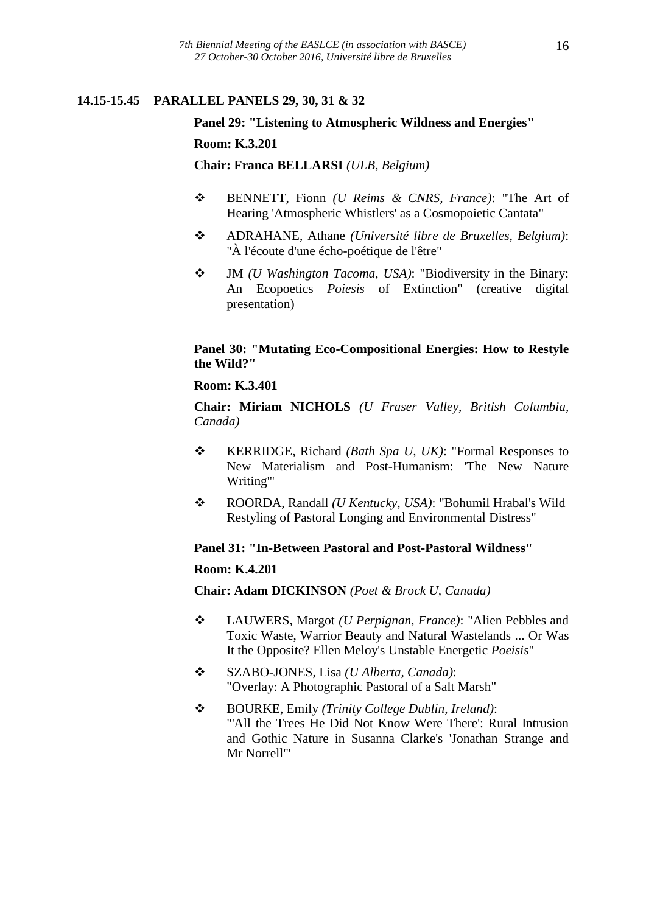# **14.15-15.45 PARALLEL PANELS 29, 30, 31 & 32**

# **Panel 29: "Listening to Atmospheric Wildness and Energies" Room: K.3.201**

**Chair: Franca BELLARSI** *(ULB, Belgium)*

- BENNETT, Fionn *(U Reims & CNRS, France)*: "The Art of Hearing 'Atmospheric Whistlers' as a Cosmopoietic Cantata"
- ADRAHANE, Athane *(Université libre de Bruxelles, Belgium)*: "À l'écoute d'une écho-poétique de l'être"
- JM *(U Washington Tacoma, USA)*: "Biodiversity in the Binary: An Ecopoetics *Poiesis* of Extinction" (creative digital presentation)

# **Panel 30: "Mutating Eco-Compositional Energies: How to Restyle the Wild?"**

#### **Room: K.3.401**

**Chair: Miriam NICHOLS** *(U Fraser Valley, British Columbia, Canada)*

- KERRIDGE, Richard *(Bath Spa U, UK)*: "Formal Responses to New Materialism and Post-Humanism: 'The New Nature Writing'"
- ROORDA, Randall *(U Kentucky, USA)*: "Bohumil Hrabal's Wild Restyling of Pastoral Longing and Environmental Distress"

# **Panel 31: "In-Between Pastoral and Post-Pastoral Wildness"**

# **Room: K.4.201**

**Chair: Adam DICKINSON** *(Poet & Brock U, Canada)*

- LAUWERS, Margot *(U Perpignan, France)*: "Alien Pebbles and Toxic Waste, Warrior Beauty and Natural Wastelands ... Or Was It the Opposite? Ellen Meloy's Unstable Energetic *Poeisis*"
- SZABO-JONES, Lisa *(U Alberta, Canada)*: "Overlay: A Photographic Pastoral of a Salt Marsh"
- BOURKE, Emily *(Trinity College Dublin, Ireland)*: "'All the Trees He Did Not Know Were There': Rural Intrusion and Gothic Nature in Susanna Clarke's 'Jonathan Strange and Mr Norrell'"